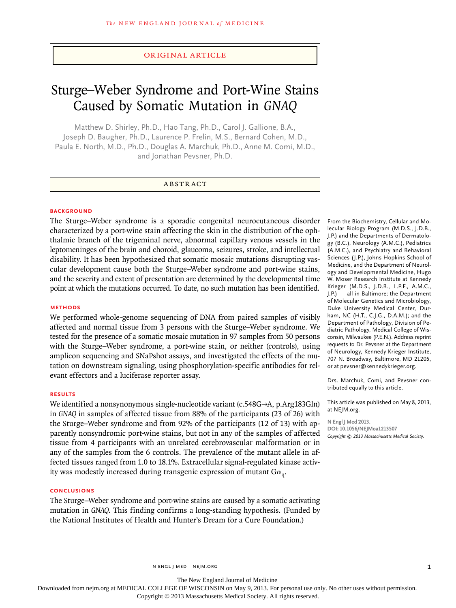## original article

# Sturge–Weber Syndrome and Port-Wine Stains Caused by Somatic Mutation in *GNAQ*

Matthew D. Shirley, Ph.D., Hao Tang, Ph.D., Carol J. Gallione, B.A., Joseph D. Baugher, Ph.D., Laurence P. Frelin, M.S., Bernard Cohen, M.D., Paula E. North, M.D., Ph.D., Douglas A. Marchuk, Ph.D., Anne M. Comi, M.D., and Jonathan Pevsner, Ph.D.

## **ABSTRACT**

#### **BACKGROUND**

The Sturge–Weber syndrome is a sporadic congenital neurocutaneous disorder characterized by a port-wine stain affecting the skin in the distribution of the ophthalmic branch of the trigeminal nerve, abnormal capillary venous vessels in the leptomeninges of the brain and choroid, glaucoma, seizures, stroke, and intellectual disability. It has been hypothesized that somatic mosaic mutations disrupting vascular development cause both the Sturge–Weber syndrome and port-wine stains, and the severity and extent of presentation are determined by the developmental time point at which the mutations occurred. To date, no such mutation has been identified.

## **Methods**

We performed whole-genome sequencing of DNA from paired samples of visibly affected and normal tissue from 3 persons with the Sturge–Weber syndrome. We tested for the presence of a somatic mosaic mutation in 97 samples from 50 persons with the Sturge–Weber syndrome, a port-wine stain, or neither (controls), using amplicon sequencing and SNaPshot assays, and investigated the effects of the mutation on downstream signaling, using phosphorylation-specific antibodies for relevant effectors and a luciferase reporter assay.

#### **Results**

We identified a nonsynonymous single-nucleotide variant (c.548G→A, p.Arg183Gln) in *GNAQ* in samples of affected tissue from 88% of the participants (23 of 26) with the Sturge–Weber syndrome and from 92% of the participants (12 of 13) with apparently nonsyndromic port-wine stains, but not in any of the samples of affected tissue from 4 participants with an unrelated cerebrovascular malformation or in any of the samples from the 6 controls. The prevalence of the mutant allele in affected tissues ranged from 1.0 to 18.1%. Extracellular signal-regulated kinase activity was modestly increased during transgenic expression of mutant  $Ga_{\alpha}$ .

## **Conclusions**

The Sturge–Weber syndrome and port-wine stains are caused by a somatic activating mutation in *GNAQ*. This finding confirms a long-standing hypothesis. (Funded by the National Institutes of Health and Hunter's Dream for a Cure Foundation.)

From the Biochemistry, Cellular and Molecular Biology Program (M.D.S., J.D.B., J.P.) and the Departments of Dermatology (B.C.), Neurology (A.M.C.), Pediatrics (A.M.C.), and Psychiatry and Behavioral Sciences (J.P.), Johns Hopkins School of Medicine, and the Department of Neurology and Developmental Medicine, Hugo W. Moser Research Institute at Kennedy Krieger (M.D.S., J.D.B., L.P.F., A.M.C., J.P.) — all in Baltimore; the Department of Molecular Genetics and Microbiology, Duke University Medical Center, Durham, NC (H.T., C.J.G., D.A.M.); and the Department of Pathology, Division of Pediatric Pathology, Medical College of Wisconsin, Milwaukee (P.E.N.). Address reprint requests to Dr. Pevsner at the Department of Neurology, Kennedy Krieger Institute, 707 N. Broadway, Baltimore, MD 21205, or at pevsner@kennedykrieger*.*org.

Drs. Marchuk, Comi, and Pevsner contributed equally to this article.

This article was published on May 8, 2013, at NEJM.org.

**N Engl J Med 2013. DOI: 10.1056/NEJMoa1213507** *Copyright © 2013 Massachusetts Medical Society.*

n engl j med nejm.org 1

The New England Journal of Medicine

Downloaded from nejm.org at MEDICAL COLLEGE OF WISCONSIN on May 9, 2013. For personal use only. No other uses without permission.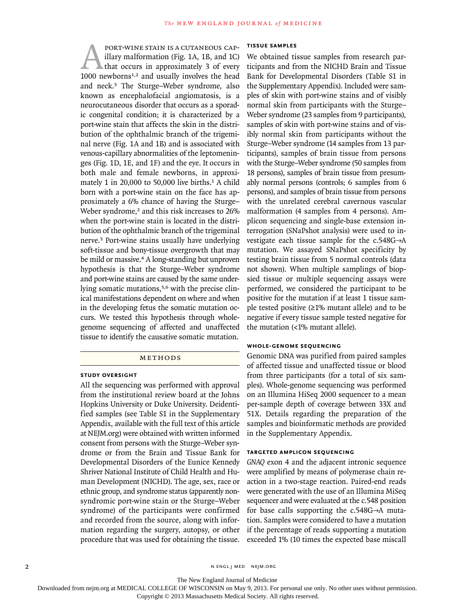**PORT-WINE STAIN IS A CUTANEOUS CAP-**<br>illary malformation (Fig. 1A, 1B, and 1C)<br>that occurs in approximately 3 of every<br>1000 newborns<sup>1,2</sup> and usually involves the head illary malformation (Fig. 1A, 1B, and 1C) that occurs in approximately 3 of every 1000 newborns<sup>1,2</sup> and usually involves the head and neck.3 The Sturge–Weber syndrome, also known as encephalofacial angiomatosis, is a neurocutaneous disorder that occurs as a sporadic congenital condition; it is characterized by a port-wine stain that affects the skin in the distribution of the ophthalmic branch of the trigeminal nerve (Fig. 1A and 1B) and is associated with venous-capillary abnormalities of the leptomeninges (Fig. 1D, 1E, and 1F) and the eye. It occurs in both male and female newborns, in approximately 1 in 20,000 to 50,000 live births. $<sup>1</sup>$  A child</sup> born with a port-wine stain on the face has approximately a 6% chance of having the Sturge– Weber syndrome,<sup>2</sup> and this risk increases to 26% when the port-wine stain is located in the distribution of the ophthalmic branch of the trigeminal nerve.3 Port-wine stains usually have underlying soft-tissue and bony-tissue overgrowth that may be mild or massive.<sup>4</sup> A long-standing but unproven hypothesis is that the Sturge–Weber syndrome and port-wine stains are caused by the same underlying somatic mutations,<sup>5,6</sup> with the precise clinical manifestations dependent on where and when in the developing fetus the somatic mutation occurs. We tested this hypothesis through wholegenome sequencing of affected and unaffected tissue to identify the causative somatic mutation.

#### METHODS

#### **Study Oversight**

All the sequencing was performed with approval from the institutional review board at the Johns Hopkins University or Duke University. Deidentified samples (see Table S1 in the Supplementary Appendix, available with the full text of this article at NEJM.org) were obtained with written informed consent from persons with the Sturge–Weber syndrome or from the Brain and Tissue Bank for Developmental Disorders of the Eunice Kennedy Shriver National Institute of Child Health and Human Development (NICHD). The age, sex, race or ethnic group, and syndrome status (apparently nonsyndromic port-wine stain or the Sturge–Weber syndrome) of the participants were confirmed and recorded from the source, along with information regarding the surgery, autopsy, or other procedure that was used for obtaining the tissue.

#### **Tissue Samples**

We obtained tissue samples from research participants and from the NICHD Brain and Tissue Bank for Developmental Disorders (Table S1 in the Supplementary Appendix). Included were samples of skin with port-wine stains and of visibly normal skin from participants with the Sturge– Weber syndrome (23 samples from 9 participants), samples of skin with port-wine stains and of visibly normal skin from participants without the Sturge–Weber syndrome (14 samples from 13 participants), samples of brain tissue from persons with the Sturge–Weber syndrome (50 samples from 18 persons), samples of brain tissue from presumably normal persons (controls; 6 samples from 6 persons), and samples of brain tissue from persons with the unrelated cerebral cavernous vascular malformation (4 samples from 4 persons). Amplicon sequencing and single-base extension interrogation (SNaPshot analysis) were used to investigate each tissue sample for the c.548G→A mutation. We assayed SNaPshot specificity by testing brain tissue from 5 normal controls (data not shown). When multiple samplings of biopsied tissue or multiple sequencing assays were performed, we considered the participant to be positive for the mutation if at least 1 tissue sample tested positive  $(\geq 1\%$  mutant allele) and to be negative if every tissue sample tested negative for the mutation (<1% mutant allele).

## **Whole-Genome Sequencing**

Genomic DNA was purified from paired samples of affected tissue and unaffected tissue or blood from three participants (for a total of six samples). Whole-genome sequencing was performed on an Illumina HiSeq 2000 sequencer to a mean per-sample depth of coverage between 33X and 51X. Details regarding the preparation of the samples and bioinformatic methods are provided in the Supplementary Appendix.

#### **Targeted Amplicon Sequencing**

*GNAQ* exon 4 and the adjacent intronic sequence were amplified by means of polymerase chain reaction in a two-stage reaction. Paired-end reads were generated with the use of an Illumina MiSeq sequencer and were evaluated at the c.548 position for base calls supporting the c.548G→A mutation. Samples were considered to have a mutation if the percentage of reads supporting a mutation exceeded 1% (10 times the expected base miscall

2 N ENGL J MED NEJM.ORG

The New England Journal of Medicine

Downloaded from nejm.org at MEDICAL COLLEGE OF WISCONSIN on May 9, 2013. For personal use only. No other uses without permission.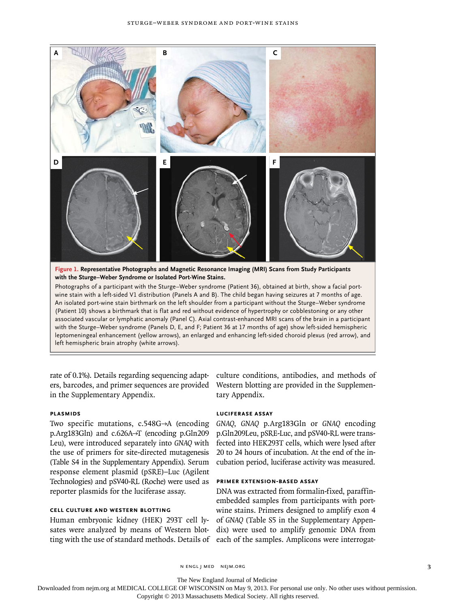

An isolated port-wine stain birthmark on the left shoulder from a participant without the Sturge–Weber syndrome (Patient 10) shows a birthmark that is flat and red without evidence of hypertrophy or cobblestoning or any other associated vascular or lymphatic anomaly (Panel C). Axial contrast-enhanced MRI scans of the brain in a participant with the Sturge–Weber syndrome (Panels D, E, and F; Patient 36 at 17 months of age) show left-sided hemispheric leptomeningeal enhancement (yellow arrows), an enlarged and enhancing left-sided choroid plexus (red arrow), and left hemispheric brain atrophy (white arrows).

rate of 0.1%). Details regarding sequencing adapters, barcodes, and primer sequences are provided Western blotting are provided in the Supplemenin the Supplementary Appendix.

## **Plasmids**

Two specific mutations, c.548G→A (encoding p.Arg183Gln) and c.626A→T (encoding p.Gln209 Leu), were introduced separately into *GNAQ* with the use of primers for site-directed mutagenesis (Table S4 in the Supplementary Appendix). Serum response element plasmid (pSRE)–Luc (Agilent Technologies) and pSV40-RL (Roche) were used as reporter plasmids for the luciferase assay.

## **Cell Culture and Western Blotting**

Human embryonic kidney (HEK) 293T cell lysates were analyzed by means of Western blotting with the use of standard methods. Details of each of the samples. Amplicons were interrogat-

culture conditions, antibodies, and methods of tary Appendix.

## **Luciferase Assay**

*GNAQ*, *GNAQ* p.Arg183Gln or *GNAQ* encoding p.Gln209Leu, pSRE-Luc, and pSV40-RL were transfected into HEK293T cells, which were lysed after 20 to 24 hours of incubation. At the end of the incubation period, luciferase activity was measured.

## **primer extension-based Assay**

DNA was extracted from formalin-fixed, paraffinembedded samples from participants with portwine stains. Primers designed to amplify exon 4 of *GNAQ* (Table S5 in the Supplementary Appendix) were used to amplify genomic DNA from

n engl j med nejm.org 3

The New England Journal of Medicine

Downloaded from nejm.org at MEDICAL COLLEGE OF WISCONSIN on May 9, 2013. For personal use only. No other uses without permission.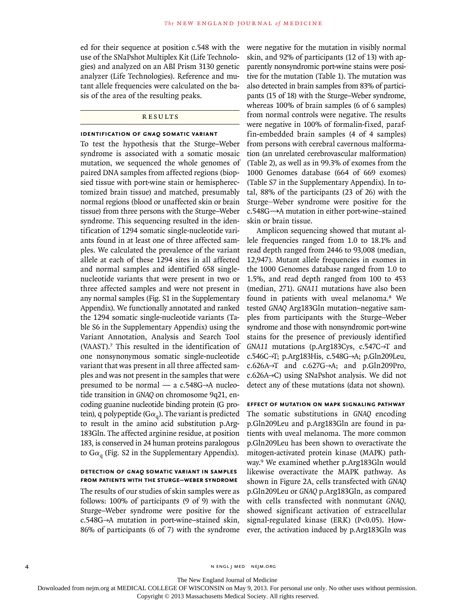ed for their sequence at position c.548 with the use of the SNaPshot Multiplex Kit (Life Technologies) and analyzed on an ABI Prism 3130 genetic analyzer (Life Technologies). Reference and mutant allele frequencies were calculated on the basis of the area of the resulting peaks.

## **RESULTS**

#### **Identification of** *GNAQ* **Somatic Variant**

To test the hypothesis that the Sturge–Weber syndrome is associated with a somatic mosaic mutation, we sequenced the whole genomes of paired DNA samples from affected regions (biopsied tissue with port-wine stain or hemispherectomized brain tissue) and matched, presumably normal regions (blood or unaffected skin or brain tissue) from three persons with the Sturge–Weber syndrome. This sequencing resulted in the identification of 1294 somatic single-nucleotide variants found in at least one of three affected samples. We calculated the prevalence of the variant allele at each of these 1294 sites in all affected and normal samples and identified 658 singlenucleotide variants that were present in two or three affected samples and were not present in any normal samples (Fig. S1 in the Supplementary Appendix). We functionally annotated and ranked the 1294 somatic single-nucleotide variants (Table S6 in the Supplementary Appendix) using the Variant Annotation, Analysis and Search Tool (VAAST).7 This resulted in the identification of one nonsynonymous somatic single-nucleotide variant that was present in all three affected samples and was not present in the samples that were presumed to be normal — a c.548G→A nucleotide transition in *GNAQ* on chromosome 9q21, encoding guanine nucleotide binding protein (G protein), q polypeptide ( $G\alpha_{q}$ ). The variant is predicted to result in the amino acid substitution p.Arg-183Gln. The affected arginine residue, at position 183, is conserved in 24 human proteins paralogous to  $Ga<sub>q</sub>$  (Fig. S2 in the Supplementary Appendix).

## **Detection of** *GNAQ* **Somatic Variant in Samples from Patients with the Sturge–Weber Syndrome**

The results of our studies of skin samples were as follows: 100% of participants (9 of 9) with the Sturge–Weber syndrome were positive for the c.548G→A mutation in port-wine–stained skin, 86% of participants (6 of 7) with the syndrome were negative for the mutation in visibly normal skin, and 92% of participants (12 of 13) with apparently nonsyndromic port-wine stains were positive for the mutation (Table 1). The mutation was also detected in brain samples from 83% of participants (15 of 18) with the Sturge–Weber syndrome, whereas 100% of brain samples (6 of 6 samples) from normal controls were negative. The results were negative in 100% of formalin-fixed, paraffin-embedded brain samples (4 of 4 samples) from persons with cerebral cavernous malformation (an unrelated cerebrovascular malformation) (Table 2), as well as in 99.3% of exomes from the 1000 Genomes database (664 of 669 exomes) (Table S7 in the Supplementary Appendix). In total, 88% of the participants (23 of 26) with the Sturge–Weber syndrome were positive for the c.548G→A mutation in either port-wine–stained skin or brain tissue.

Amplicon sequencing showed that mutant allele frequencies ranged from 1.0 to 18.1% and read depth ranged from 2446 to 93,008 (median, 12,947). Mutant allele frequencies in exomes in the 1000 Genomes database ranged from 1.0 to 1.5%, and read depth ranged from 100 to 453 (median, 271). *GNA11* mutations have also been found in patients with uveal melanoma.8 We tested *GNAQ* Arg183Gln mutation–negative samples from participants with the Sturge–Weber syndrome and those with nonsyndromic port-wine stains for the presence of previously identified *GNA11* mutations (p.Arg183Cys, c.547C→T and c.546C→T; p.Arg183His, c.548G→A; p.Gln209Leu, c.626A→T and c.627G→A; and p.Gln209Pro, c.626A→C) using SNaPshot analysis. We did not detect any of these mutations (data not shown).

## **Effect of Mutation on MAPK Signaling Pathway**

The somatic substitutions in *GNAQ* encoding p.Gln209Leu and p.Arg183Gln are found in patients with uveal melanoma. The more common p.Gln209Leu has been shown to overactivate the mitogen-activated protein kinase (MAPK) pathway.9 We examined whether p.Arg183Gln would likewise overactivate the MAPK pathway. As shown in Figure 2A, cells transfected with *GNAQ* p.Gln209Leu or *GNAQ* p.Arg183Gln, as compared with cells transfected with nonmutant *GNAQ*, showed significant activation of extracellular signal-regulated kinase (ERK) (P<0.05). However, the activation induced by p.Arg183Gln was

4 n engl j med nejm.org i med nejm.org i med nejm.org i med nejm.org i med nejm.org i med nejm.org i med nejm.org

The New England Journal of Medicine

Downloaded from nejm.org at MEDICAL COLLEGE OF WISCONSIN on May 9, 2013. For personal use only. No other uses without permission.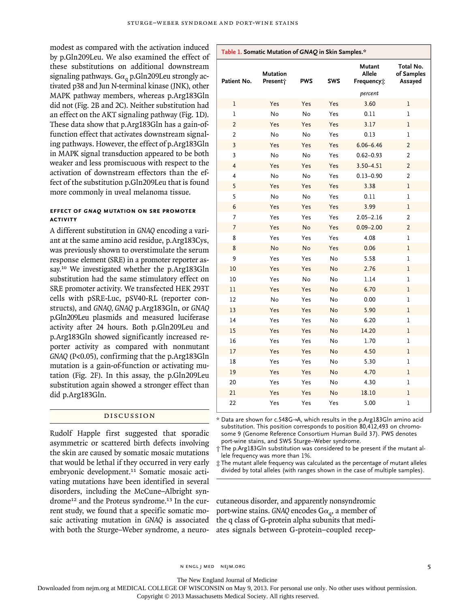modest as compared with the activation induced by p.Gln209Leu. We also examined the effect of these substitutions on additional downstream signaling pathways. G $\alpha_a$  p.Gln209Leu strongly activated p38 and Jun N-terminal kinase (JNK), other MAPK pathway members, whereas p.Arg183Gln did not (Fig. 2B and 2C). Neither substitution had an effect on the AKT signaling pathway (Fig. 1D). These data show that p.Arg183Gln has a gain-offunction effect that activates downstream signaling pathways. However, the effect of p.Arg183Gln in MAPK signal transduction appeared to be both weaker and less promiscuous with respect to the activation of downstream effectors than the effect of the substitution p.Gln209Leu that is found more commonly in uveal melanoma tissue.

## **Effect of** *GNAQ* **Mutation on SRE Promoter Activity**

A different substitution in *GNAQ* encoding a variant at the same amino acid residue, p.Arg183Cys, was previously shown to overstimulate the serum response element (SRE) in a promoter reporter assay.10 We investigated whether the p.Arg183Gln substitution had the same stimulatory effect on SRE promoter activity. We transfected HEK 293T cells with pSRE-Luc, pSV40-RL (reporter constructs), and *GNAQ, GNAQ* p.Arg183Gln, or *GNAQ* p.Gln209Leu plasmids and measured luciferase activity after 24 hours. Both p.Gln209Leu and p.Arg183Gln showed significantly increased reporter activity as compared with nonmutant *GNAQ* (P<0.05), confirming that the p.Arg183Gln mutation is a gain-of-function or activating mutation (Fig. 2F). In this assay, the p.Gln209Leu substitution again showed a stronger effect than did p.Arg183Gln.

## Discussion

Rudolf Happle first suggested that sporadic asymmetric or scattered birth defects involving the skin are caused by somatic mosaic mutations that would be lethal if they occurred in very early embryonic development.11 Somatic mosaic activating mutations have been identified in several disorders, including the McCune–Albright syndrome<sup>12</sup> and the Proteus syndrome.<sup>13</sup> In the current study, we found that a specific somatic mosaic activating mutation in *GNAQ* is associated with both the Sturge–Weber syndrome, a neuro-

| Patient No.             | Mutation<br>Presenti | <b>PWS</b> | SWS       | Mutant<br>Allele<br>Frequency: | Total No.<br>of Samples<br>Assayed |
|-------------------------|----------------------|------------|-----------|--------------------------------|------------------------------------|
|                         |                      |            |           | percent                        |                                    |
| $\mathbf 1$             | Yes                  | Yes        | Yes       | 3.60                           | 1                                  |
| $\mathbf{1}$            | No                   | No         | Yes       | 0.11                           | ı                                  |
| $\overline{2}$          | Yes                  | Yes        | Yes       | 3.17                           | ı                                  |
| 2                       | No                   | No         | Yes       | 0.13                           | 1                                  |
| 3                       | Yes                  | Yes        | Yes       | $6.06 - 6.46$                  | $\overline{2}$                     |
| $\overline{\mathbf{3}}$ | No                   | No         | Yes       | $0.62 - 0.93$                  | $\overline{2}$                     |
| $\overline{4}$          | Yes                  | Yes        | Yes       | $3.50 - 4.51$                  | $\overline{2}$                     |
| 4                       | No                   | No         | Yes       | $0.13 - 0.90$                  | $\overline{2}$                     |
| 5                       | Yes                  | Yes        | Yes       | 3.38                           | 1                                  |
| 5                       | No                   | No         | Yes       | 0.11                           | $\mathbf{I}$                       |
| 6                       | Yes                  | Yes        | Yes       | 3.99                           | ı                                  |
| 7                       | Yes                  | Yes        | Yes       | $2.05 - 2.16$                  | 2                                  |
| $\overline{7}$          | Yes                  | No         | Yes       | $0.09 - 2.00$                  | $\overline{2}$                     |
| 8                       | Yes                  | Yes        | Yes       | 4.08                           | 1                                  |
| 8                       | No                   | <b>No</b>  | Yes       | 0.06                           | ı                                  |
| 9                       | Yes                  | Yes        | No        | 5.58                           | 1                                  |
| 10                      | Yes                  | Yes        | No        | 2.76                           | $\mathbf 1$                        |
| 10                      | Yes                  | No         | No        | 1.14                           | $\mathbf{I}$                       |
| 11                      | Yes                  | Yes        | No        | 6.70                           | $\mathbf{I}$                       |
| 12                      | No                   | Yes        | No        | 0.00                           | 1                                  |
| 13                      | Yes                  | Yes        | No        | 5.90                           | ı                                  |
| 14                      | Yes                  | Yes        | No        | 6.20                           | 1                                  |
| 15                      | Yes                  | Yes        | <b>No</b> | 14.20                          | $\mathbf{I}$                       |
| 16                      | Yes                  | Yes        | No        | 1.70                           | 1                                  |
| 17                      | Yes                  | Yes        | No        | 4.50                           | l                                  |
| 18                      | Yes                  | Yes        | No        | 5.30                           | 1                                  |
| 19                      | Yes                  | Yes        | <b>No</b> | 4.70                           | $\mathbf{I}$                       |
| 20                      | Yes                  | Yes        | No        | 4.30                           | $\bf{l}$                           |
| 21                      | Yes                  | Yes        | No        | 18.10                          | ı                                  |
| 22                      | Yes                  | Yes        | Yes       | 5.00                           | $\mathbf{I}$                       |

**Table 1. Somatic Mutation of** *GNAQ* **in Skin Samples.\***

\* Data are shown for c.548G→A, which results in the p.Arg183Gln amino acid substitution. This position corresponds to position 80,412,493 on chromosome 9 (Genome Reference Consortium Human Build 37). PWS denotes port-wine stains, and SWS Sturge–Weber syndrome.

† The p.Arg183Gln substitution was considered to be present if the mutant allele frequency was more than 1%.

‡ The mutant allele frequency was calculated as the percentage of mutant alleles divided by total alleles (with ranges shown in the case of multiple samples).

cutaneous disorder, and apparently nonsyndromic port-wine stains. *GNAQ* encodes  $Ga_{\alpha}$ , a member of the q class of G-protein alpha subunits that mediates signals between G-protein–coupled recep-

The New England Journal of Medicine

Downloaded from nejm.org at MEDICAL COLLEGE OF WISCONSIN on May 9, 2013. For personal use only. No other uses without permission.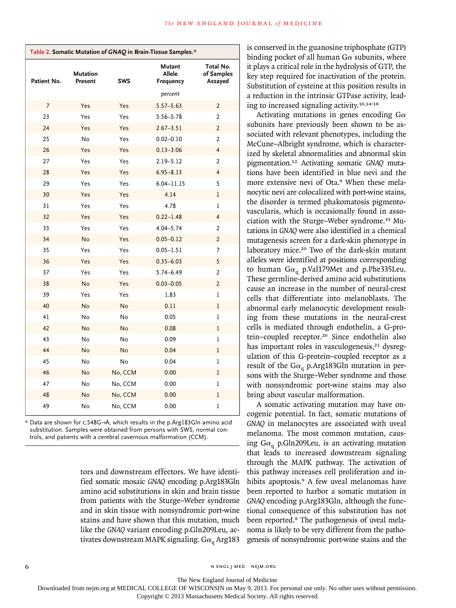| Table 2. Somatic Mutation of GNAQ in Brain-Tissue Samples.* |  |
|-------------------------------------------------------------|--|
|-------------------------------------------------------------|--|

| Patient No. | Mutation<br>Present | <b>SWS</b> | Mutant<br>Allele<br>Frequency | Total No.<br>of Samples<br>Assayed |
|-------------|---------------------|------------|-------------------------------|------------------------------------|
|             |                     |            | percent                       |                                    |
| 7           | Yes                 | Yes        | $5.57 - 5.63$                 | $\overline{2}$                     |
| 23          | Yes                 | Yes        | $5.56 - 5.78$                 | 2                                  |
| 24          | Yes                 | Yes        | $2.67 - 3.51$                 | $\overline{2}$                     |
| 25          | No                  | Yes        | $0.02 - 0.10$                 | $\overline{2}$                     |
| 26          | Yes                 | Yes        | $0.13 - 3.06$                 | 4                                  |
| 27          | Yes                 | Yes        | $2.19 - 5.12$                 | $\overline{2}$                     |
| 28          | Yes                 | Yes        | $6.95 - 8.13$                 | 4                                  |
| 29          | Yes                 | Yes        | $6.04 - 11.15$                | 5                                  |
| 30          | Yes                 | Yes        | 4.14                          | $\mathbf 1$                        |
| 31          | Yes                 | Yes        | 4.78                          | $\mathbf 1$                        |
| 32          | Yes                 | Yes        | $0.22 - 1.48$                 | $\overline{4}$                     |
| 33          | Yes                 | Yes        | $4.04 - 5.74$                 | $\overline{2}$                     |
| 34          | No                  | Yes        | $0.05 - 0.12$                 | $\overline{2}$                     |
| 35          | Yes                 | Yes        | $0.05 - 1.51$                 | 7                                  |
| 36          | Yes                 | Yes        | $0.35 - 6.03$                 | 5                                  |
| 37          | Yes                 | Yes        | $5.74 - 6.49$                 | $\overline{2}$                     |
| 38          | No                  | Yes        | $0.03 - 0.05$                 | $\overline{2}$                     |
| 39          | Yes                 | Yes        | 1.83                          | 1                                  |
| 40          | <b>No</b>           | <b>No</b>  | 0.11                          | $\bf{l}$                           |
| 41          | No                  | No         | 0.05                          | ı                                  |
| 42          | No                  | No         | 0.08                          | ı                                  |
| 43          | No                  | No         | 0.09                          | $\mathbf 1$                        |
| 44          | No                  | No         | 0.04                          | $\bf{l}$                           |
| 45          | No                  | No         | 0.04                          | $\mathbf 1$                        |
| 46          | No                  | No, CCM    | 0.00                          | $\mathbf 1$                        |
| 47          | No                  | No, CCM    | 0.00                          | ı                                  |
| 48          | No                  | No, CCM    | 0.00                          | $\mathbf 1$                        |
| 49          | No                  | No, CCM    | 0.00                          | ı                                  |

\* Data are shown for c.548G→A, which results in the p.Arg183Gln amino acid substitution. Samples were obtained from persons with SWS, normal controls, and patients with a cerebral cavernous malformation (CCM).

> tors and downstream effectors. We have identified somatic mosaic *GNAQ* encoding p.Arg183Gln amino acid substitutions in skin and brain tissue from patients with the Sturge–Weber syndrome and in skin tissue with nonsyndromic port-wine stains and have shown that this mutation, much like the *GNAQ* variant encoding p.Gln209Leu, activates downstream MAPK signaling.  $Ga<sub>q</sub> Arg183$

is conserved in the guanosine triphosphate (GTP) binding pocket of all human  $G\alpha$  subunits, where it plays a critical role in the hydrolysis of GTP, the key step required for inactivation of the protein. Substitution of cysteine at this position results in a reduction in the intrinsic GTPase activity, leading to increased signaling activity.10,14-18

Activating mutations in genes encoding  $G\alpha$ subunits have previously been shown to be associated with relevant phenotypes, including the McCune–Albright syndrome, which is characterized by skeletal abnormalities and abnormal skin pigmentation.12 Activating somatic *GNAQ* mutations have been identified in blue nevi and the more extensive nevi of Ota.9 When these melanocytic nevi are colocalized with port-wine stains, the disorder is termed phakomatosis pigmentovascularis, which is occasionally found in association with the Sturge–Weber syndrome.19 Mutations in *GNAQ* were also identified in a chemical mutagenesis screen for a dark-skin phenotype in laboratory mice.20 Two of the dark-skin mutant alleles were identified at positions corresponding to human G $\alpha_q$  p.Val179Met and p.Phe335Leu. These germline-derived amino acid substitutions cause an increase in the number of neural-crest cells that differentiate into melanoblasts. The abnormal early melanocytic development resulting from these mutations in the neural-crest cells is mediated through endothelin, a G-protein–coupled receptor.20 Since endothelin also has important roles in vasculogenesis,<sup>21</sup> dysregulation of this G-protein–coupled receptor as a result of the G $\alpha_q$  p.Arg183Gln mutation in persons with the Sturge–Weber syndrome and those with nonsyndromic port-wine stains may also bring about vascular malformation.

A somatic activating mutation may have oncogenic potential. In fact, somatic mutations of *GNAQ* in melanocytes are associated with uveal melanoma. The most common mutation, causing G $\alpha_{\rm q}$  p.Gln209Leu, is an activating mutation that leads to increased downstream signaling through the MAPK pathway. The activation of this pathway increases cell proliferation and inhibits apoptosis.<sup>9</sup> A few uveal melanomas have been reported to harbor a somatic mutation in *GNAQ* encoding p.Arg183Gln, although the functional consequence of this substitution has not been reported.<sup>8</sup> The pathogenesis of uveal melanoma is likely to be very different from the pathogenesis of nonsyndromic port-wine stains and the

6 n engl j med nejm.org i med nejm.org i med nejm.org i med nejm.org i med nejm.org i med nejm.org i med nejm.org i med nejm.org i med nejm.org i med nejm.org i med nejm.org i med nejm.org i med nejm.org i med nejm.org i m

The New England Journal of Medicine

Downloaded from nejm.org at MEDICAL COLLEGE OF WISCONSIN on May 9, 2013. For personal use only. No other uses without permission.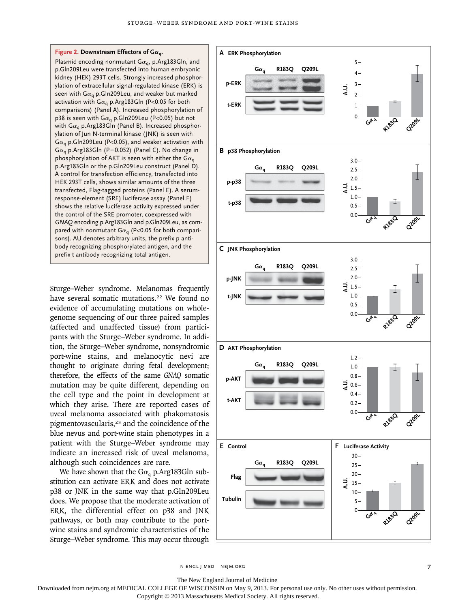

Plasmid encoding nonmutant  $Ga_q$ , p.Arg183Gln, and p.Gln209Leu were transfected into human embryonic kidney (HEK) 293T cells. Strongly increased phosphorylation of extracellular signal-regulated kinase (ERK) is seen with G $\alpha_q$  p.Gln209Leu, and weaker but marked activation with  $Ga<sub>q</sub>$  p.Arg183Gln (P<0.05 for both comparisons) (Panel A). Increased phosphorylation of p38 is seen with  $Ga_q$  p.Gln209Leu (P<0.05) but not with G $\alpha_q$  p.Arg183Gln (Panel B). Increased phosphorylation of Jun N-terminal kinase (JNK) is seen with  $Ga<sub>q</sub>$  p.Gln209Leu (P<0.05), and weaker activation with  $Ga<sub>q</sub>$  p.Arg183Gln (P=0.052) (Panel C). No change in phosphorylation of AKT is seen with either the  $Ga_q$ p.Arg183Gln or the p.Gln209Leu construct (Panel D). A control for transfection efficiency, transfected into HEK 293T cells, shows similar amounts of the three transfected, Flag-tagged proteins (Panel E). A serumresponse-element (SRE) luciferase assay (Panel F) shows the relative luciferase activity expressed under the control of the SRE promoter, coexpressed with *GNAQ* encoding p.Arg183Gln and p.Gln209Leu, as compared with nonmutant G $\alpha_q$  (P<0.05 for both comparisons). AU denotes arbitrary units, the prefix p antibody recognizing phosphorylated antigen, and the prefix t antibody recognizing total antigen.

Sturge–Weber syndrome. Melanomas frequently have several somatic mutations.<sup>22</sup> We found no evidence of accumulating mutations on wholegenome sequencing of our three paired samples (affected and unaffected tissue) from participants with the Sturge–Weber syndrome. In addition, the Sturge–Weber syndrome, nonsyndromic port-wine stains, and melanocytic nevi are thought to originate during fetal development; therefore, the effects of the same *GNAQ* somatic mutation may be quite different, depending on the cell type and the point in development at which they arise. There are reported cases of uveal melanoma associated with phakomatosis pigmentovascularis,<sup>23</sup> and the coincidence of the blue nevus and port-wine stain phenotypes in a patient with the Sturge–Weber syndrome may indicate an increased risk of uveal melanoma, although such coincidences are rare.

We have shown that the  $Ga<sub>q</sub>$  p.Arg183Gln substitution can activate ERK and does not activate p38 or JNK in the same way that p.Gln209Leu does. We propose that the moderate activation of ERK, the differential effect on p38 and JNK pathways, or both may contribute to the portwine stains and syndromic characteristics of the Sturge–Weber syndrome. This may occur through



The New England Journal of Medicine

Downloaded from nejm.org at MEDICAL COLLEGE OF WISCONSIN on May 9, 2013. For personal use only. No other uses without permission.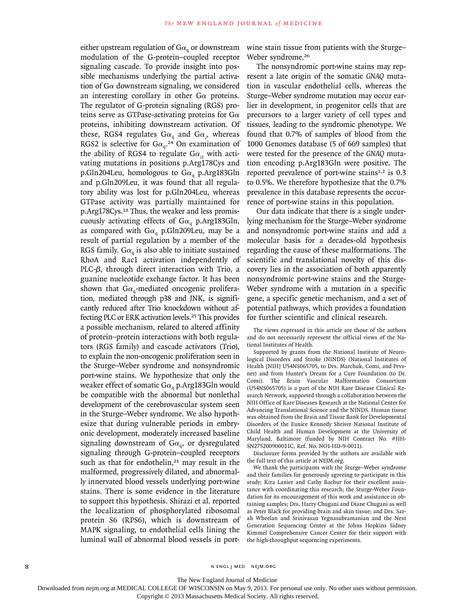either upstream regulation of  $Ga<sub>a</sub>$  or downstream modulation of the G-protein–coupled receptor signaling cascade. To provide insight into possible mechanisms underlying the partial activation of  $G\alpha$  downstream signaling, we considered an interesting corollary in other  $G\alpha$  proteins. The regulator of G-protein signaling (RGS) proteins serve as GTPase-activating proteins for  $G\alpha$ proteins, inhibiting downstream activation. Of these, RGS4 regulates  $Ga_q$  and  $Ga_i$ , whereas RGS2 is selective for  $Ga_{q}$ <sup>24</sup> On examination of the ability of RGS4 to regulate  $Ga_{i1}$  with activating mutations in positions p.Arg178Cys and p.Gln204Leu, homologous to G $\alpha_q$  p.Arg183Gln and p.Gln209Leu, it was found that all regulatory ability was lost for p.Gln204Leu, whereas GTPase activity was partially maintained for p.Arg178Cys.18 Thus, the weaker and less promiscuously activating effects of  $Ga<sub>a</sub>$  p.Arg183Gln, as compared with  $Ga<sub>q</sub>$  p.Gln209Leu, may be a result of partial regulation by a member of the RGS family. G $\alpha_{q}$  is also able to initiate sustained RhoA and Rac1 activation independently of PLC-β, through direct interaction with Trio, a guanine nucleotide exchange factor. It has been shown that  $Ga_{q}$ -mediated oncogenic proliferation, mediated through p38 and JNK, is significantly reduced after Trio knockdown without affecting PLC or ERK activation levels.25 This provides a possible mechanism, related to altered affinity of protein–protein interactions with both regulators (RGS family) and cascade activators (Trio), to explain the non-oncogenic proliferation seen in the Sturge–Weber syndrome and nonsyndromic port-wine stains. We hypothesize that only the weaker effect of somatic G $\alpha_{q}$  p.Arg183Gln would be compatible with the abnormal but nonlethal development of the cerebrovascular system seen in the Sturge–Weber syndrome. We also hypothesize that during vulnerable periods in embryonic development, moderately increased baseline signaling downstream of  $Ga_{\alpha}$ , or dysregulated signaling through G-protein–coupled receptors such as that for endothelin, $21$  may result in the malformed, progressively dilated, and abnormally innervated blood vessels underlying port-wine stains. There is some evidence in the literature to support this hypothesis. Shirazi et al. reported the localization of phosphorylated ribosomal protein S6 (RPS6), which is downstream of MAPK signaling, to endothelial cells lining the luminal wall of abnormal blood vessels in port-

wine stain tissue from patients with the Sturge– Weber syndrome.<sup>26</sup>

The nonsyndromic port-wine stains may represent a late origin of the somatic *GNAQ* mutation in vascular endothelial cells, whereas the Sturge–Weber syndrome mutation may occur earlier in development, in progenitor cells that are precursors to a larger variety of cell types and tissues, leading to the syndromic phenotype. We found that 0.7% of samples of blood from the 1000 Genomes database (5 of 669 samples) that were tested for the presence of the *GNAQ* mutation encoding p.Arg183Gln were positive. The reported prevalence of port-wine stains $1,2$  is 0.3 to 0.5%. We therefore hypothesize that the 0.7% prevalence in this database represents the occurrence of port-wine stains in this population.

Our data indicate that there is a single underlying mechanism for the Sturge–Weber syndrome and nonsyndromic port-wine stains and add a molecular basis for a decades-old hypothesis regarding the cause of these malformations. The scientific and translational novelty of this discovery lies in the association of both apparently nonsyndromic port-wine stains and the Sturge-Weber syndrome with a mutation in a specific gene, a specific genetic mechanism, and a set of potential pathways, which provides a foundation for further scientific and clinical research.

The views expressed in this article are those of the authors and do not necessarily represent the official views of the National Institutes of Health.

Supported by grants from the National Institute of Neurological Disorders and Stroke (NINDS) (National Institutes of Health [NIH] U54NS065705, to Drs. Marchuk, Comi, and Pevsner) and from Hunter's Dream for a Cure Foundation (to Dr. Comi). The Brain Vascular Malformation Consortium (U54NS065705) is a part of the NIH Rare Disease Clinical Research Network, supported through a collaboration between the NIH Office of Rare Diseases Research at the National Center for Advancing Translational Science and the NINDS. Human tissue was obtained from the Brain and Tissue Bank for Developmental Disorders of the Eunice Kennedy Shriver National Institute of Child Health and Human Development at the University of Maryland, Baltimore (funded by NIH Contract No. #HH-SN275200900011C, Ref. No. NO1-HD-9-0011).

Disclosure forms provided by the authors are available with the full text of this article at NEJM.org.

We thank the participants with the Sturge–Weber syndrome and their families for generously agreeing to participate in this study; Kira Lanier and Cathy Bachur for their excellent assistance with coordinating this research; the Sturge-Weber Foundation for its encouragement of this work and assistance in obtaining samples; Drs. Harry Chugani and Diane Chugani as well as Peter Black for providing brain and skin tissue; and Drs. Sarah Wheelan and Srinivasan Yegnasubramanian and the Next Generation Sequencing Center at the Johns Hopkins Sidney Kimmel Comprehensive Cancer Center for their support with the high-throughput sequencing experiments.

8 n engl j med nejm.org i med nejm.org i med nejm.org i med nejm.org i med nejm.org i med nejm.org i med nejm.org

The New England Journal of Medicine

Downloaded from nejm.org at MEDICAL COLLEGE OF WISCONSIN on May 9, 2013. For personal use only. No other uses without permission.